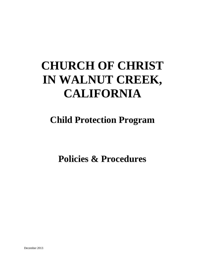# **CHURCH OF CHRIST IN WALNUT CREEK, CALIFORNIA**

## **Child Protection Program**

**Policies & Procedures**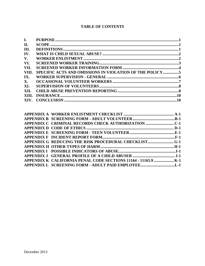## **TABLE OF CONTENTS**

| $\mathbf{I}$ .         |                                                               |  |
|------------------------|---------------------------------------------------------------|--|
| II.                    |                                                               |  |
| III.                   |                                                               |  |
| IV.                    |                                                               |  |
| $\mathbf{V}_{\bullet}$ |                                                               |  |
| VI.                    |                                                               |  |
| VII.                   |                                                               |  |
| VIII.                  | <b>SPECIFIC ACTS AND OMISSIONS IN VIOLATION OF THE POLICY</b> |  |
| IX.                    |                                                               |  |
| X.                     |                                                               |  |
| XI.                    |                                                               |  |
| XII.                   |                                                               |  |
| XIII.                  | $IN SURANCE 10$                                               |  |
| XIV.                   |                                                               |  |

| APPENDIX G REDUCING THE RISK PROCEDURAL CHECKLISTG-1 |  |
|------------------------------------------------------|--|
|                                                      |  |
|                                                      |  |
|                                                      |  |
|                                                      |  |
| APPENDIX L SCREENING FORM - ADULT PAID EMPLOYEEL-1   |  |
|                                                      |  |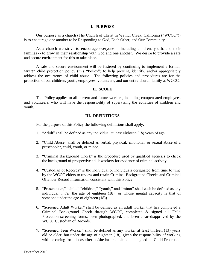#### **I. PURPOSE**

Our purpose as a church (The Church of Christ in Walnut Creek, California ("WCCC")) is to encourage one another to be Responding to God, Each Other, and Our Community.

As a church we strive to encourage everyone -- including children, youth, and their families -- to grow in their relationship with God and one another. We desire to provide a safe and secure environment for this to take place.

A safe and secure environment will be fostered by continuing to implement a formal, written child protection policy (this "Policy") to help prevent, identify, and/or appropriately address the occurrence of child abuse. The following policies and procedures are for the protection of our children, youth, employees, volunteers, and our entire church family at WCCC.

#### **II. SCOPE**

This Policy applies to all current and future workers, including compensated employees and volunteers, who will have the responsibility of supervising the activities of children and youth.

#### **III. DEFINITIONS**

For the purpose of this Policy the following definitions shall apply:

- 1. "Adult" shall be defined as any individual at least eighteen (18) years of age.
- 2. "Child Abuse" shall be defined as verbal, physical, emotional, or sexual abuse of a preschooler, child, youth, or minor.
- 3. "Criminal Background Check" is the procedure used by qualified agencies to check the background of prospective adult workers for evidence of criminal activity.
- 4. "Custodian of Records" is the individual or individuals designated from time to time by the WCCC elders to review and retain Criminal Background Checks and Criminal Offender Record Information consistent with this Policy.
- 5. "Preschooler," "child," "children," "youth," and "minor" shall each be defined as any individual *under* the age of eighteen (18) (or whose mental capacity is that of someone under the age of eighteen (18)).
- 6. "Screened Adult Worker" shall be defined as an adult worker that has completed a Criminal Background Check through WCCC, completed & signed all Child Protection screening forms, been photographed, and been cleared/approved by the WCCC Custodian of Records.
- 7. "Screened Teen Worker" shall be defined as any worker at least thirteen (13) years old or older, but under the age of eighteen (18), given the responsibility of working with or caring for minors after he/she has completed and signed all Child Protection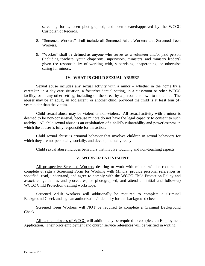screening forms, been photographed, and been cleared/approved by the WCCC Custodian of Records.

- 8. "Screened Workers" shall include all Screened Adult Workers and Screened Teen Workers.
- 9. "Worker" shall be defined as anyone who serves as a volunteer and/or paid person (including teachers, youth chaperons, supervisors, ministers, and ministry leaders) given the responsibility of working with, supervising, chaperoning, or otherwise caring for minors.

#### **IV. WHAT IS CHILD SEXUAL ABUSE?**

Sexual abuse includes any sexual activity with a minor – whether in the home by a caretaker, in a day care situation, a foster/residential setting, in a classroom or other WCCC facility, or in any other setting, including on the street by a person unknown to the child. The abuser may be an adult, an adolescent, or another child, provided the child is at least four (4) years older than the victim.

Child sexual abuse may be violent or non-violent. All sexual activity with a minor is deemed to be non-consensual, because minors do not have the legal capacity to consent to such activity. All child sexual abuse is an exploitation of a child's vulnerability and powerlessness in which the abuser is fully responsible for the action.

Child sexual abuse is criminal behavior that involves children in sexual behaviors for which they are not personally, socially, and developmentally ready.

Child sexual abuse includes behaviors that involve touching and non-touching aspects.

#### **V. WORKER ENLISTMENT**

All prospective Screened Workers desiring to work with minors will be required to complete & sign a Screening Form for Working with Minors; provide personal references as specified; read, understand, and agree to comply with the WCCC Child Protection Policy and associated guidelines and procedures; be photographed; and attend an initial and follow-up WCCC Child Protection training workshops.

Screened Adult Workers will additionally be required to complete a Criminal Background Check and sign an authorization/indemnity for this background check.

Screened Teen Workers will NOT be required to complete a Criminal Background Check.

All paid employees of WCCC will additionally be required to complete an Employment Application. Their prior employment and church service references will be verified in writing.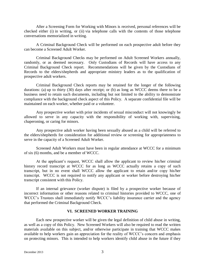After a Screening Form for Working with Minors is received, personal references will be checked either (i) in writing, or (ii) via telephone calls with the contents of those telephone conversations memorialized in writing.

A Criminal Background Check will be performed on each prospective adult before they can become a Screened Adult Worker.

Criminal Background Checks may be performed on Adult Screened Workers annually, randomly, or as deemed necessary. Only Custodians of Records will have access to any Criminal Background Check report. Recommendations will be given by the Custodians of Records to the elders/shepherds and appropriate ministry leaders as to the qualification of prospective adult workers.

Criminal Background Check reports may be retained for the longer of the following durations: (a) up to thirty (30) days after receipt; or (b) as long as WCCC deems there to be a business need to retain such documents, including but not limited to the ability to demonstrate compliance with the background check aspect of this Policy. A separate confidential file will be maintained on each worker, whether paid or a volunteer.

Any prospective worker with prior incidents of sexual misconduct will not knowingly be allowed to serve in any capacity with the responsibility of working with, supervising, chaperoning, or caring for minors.

Any prospective adult worker having been sexually abused as a child will be referred to the elders/shepherds for consideration for additional review or screening for appropriateness to serve in the capacity of a Screened Adult Worker.

Screened Adult Workers must have been in regular attendance at WCCC for a minimum of six (6) months, and be a member of WCCC.

At the applicant's request, WCCC shall allow the applicant to review his/her criminal history record transcript at WCCC for as long as WCCC actually retains a copy of such transcript, but in no event shall WCCC allow the applicant to retain and/or copy his/her transcript. WCCC is not required to notify any applicant or worker before destroying his/her transcript consistent with this Policy.

If an internal grievance (worker dispute) is filed by a prospective worker because of incorrect information or other reasons related to criminal histories provided to WCCC, one of WCCC's Trustees shall immediately notify WCCC's liability insurance carrier and the agency that performed the Criminal Background Check.

#### **VI. SCREENED WORKER TRAINING**

Each new prospective worker will be given the legal definition of child abuse in writing, as well as a copy of this Policy. New Screened Workers will also be required to read the written materials available on this subject, and/or otherwise participate in training that WCCC makes available to help workers gain an appreciation for the reality of WCCC's concern and emphasis on protecting minors. This is intended to help workers identify child abuse in the future if they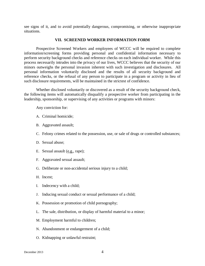see signs of it, and to avoid potentially dangerous, compromising, or otherwise inappropriate situations.

#### **VII. SCREENED WORKER INFORMATION FORM**

Prospective Screened Workers and employees of WCCC will be required to complete information/screening forms providing personal and confidential information necessary to perform security background checks and reference checks on each individual worker. While this process necessarily intrudes into the privacy of our lives, WCCC believes that the security of our minors outweighs the personal invasion inherent with such investigation and disclosures. All personal information voluntarily disclosed and the results of all security background and reference checks, or the refusal of any person to participate in a program or activity in lieu of such disclosure requirements, will be maintained in the strictest of confidence.

Whether disclosed voluntarily or discovered as a result of the security background check, the following items will automatically disqualify a prospective worker from participating in the leadership, sponsorship, or supervising of any activities or programs with minors:

Any conviction for:

- A. Criminal homicide;
- B. Aggravated assault;
- C. Felony crimes related to the possession, use, or sale of drugs or controlled substances;
- D. Sexual abuse;
- E. Sexual assault (e.g., rape);
- F. Aggravated sexual assault;
- G. Deliberate or non-accidental serious injury to a child;
- H. Incest;
- I. Indecency with a child;
- J. Inducing sexual conduct or sexual performance of a child;
- K. Possession or promotion of child pornography;
- L. The sale, distribution, or display of harmful material to a minor;
- M. Employment harmful to children;
- N. Abandonment or endangerment of a child;
- O. Kidnapping or unlawful restraint;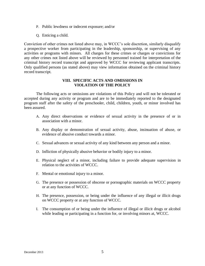- P. Public lewdness or indecent exposure; and/or
- Q. Enticing a child.

Conviction of other crimes not listed above may, in WCCC's sole discretion, similarly disqualify a prospective worker from participating in the leadership, sponsorship, or supervising of any activities or programs with minors. All charges for these crimes or charges or convictions for any other crimes not listed above will be reviewed by personnel trained for interpretation of the criminal history record transcript and approved by WCCC for reviewing applicant transcripts. Only qualified persons (as stated above) may view information obtained on the criminal history record transcript.

#### **VIII. SPECIFIC ACTS AND OMISSIONS IN VIOLATION OF THE POLICY**

The following acts or omissions are violations of this Policy and will not be tolerated or accepted during any activity or program and are to be immediately reported to the designated program staff after the safety of the preschooler, child, children, youth, or minor involved has been assured.

- A. Any direct observations or evidence of sexual activity in the presence of or in association with a minor.
- B. Any display or demonstration of sexual activity, abuse, insinuation of abuse, or evidence of abusive conduct towards a minor.
- C. Sexual advances or sexual activity of any kind between any person and a minor.
- D. Infliction of physically abusive behavior or bodily injury to a minor.
- E. Physical neglect of a minor, including failure to provide adequate supervision in relation to the activities of WCCC.
- F. Mental or emotional injury to a minor.
- G. The presence or possession of obscene or pornographic materials on WCCC property or at any function of WCCC.
- H. The presence, possession, or being under the influence of any illegal or illicit drugs on WCCC property or at any function of WCCC.
- I. The consumption of or being under the influence of illegal or illicit drugs or alcohol while leading or participating in a function for, or involving minors at, WCCC.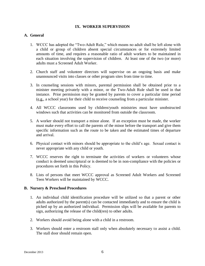#### **IX. WORKER SUPERVISION**

#### **A. General**

- 1. WCCC has adopted the "Two-Adult Rule," which means no adult shall be left alone with a child or group of children absent special circumstances or for extremely limited amounts of time, and requires a reasonable ratio of adult workers to be maintained in each situation involving the supervision of children. At least one of the two (or more) adults must a Screened Adult Worker.
- 2. Church staff and volunteer directors will supervise on an ongoing basis and make unannounced visits into classes or other program sites from time to time.
- 3. In counseling sessions with minors, parental permission shall be obtained prior to a minister meeting privately with a minor, or the Two-Adult Rule shall be used in that instance. Prior permission may be granted by parents to cover a particular time period (e.g., a school year) for their child to receive counseling from a particular minister.
- 4. All WCCC classrooms used by children/youth ministries must have unobstructed windows such that activities can be monitored from outside the classroom.
- 5. A worker should not transport a minor alone. If an exception must be made, the worker must make every effort to call the parents of the minor before the transport and give them specific information such as the route to be taken and the estimated times of departure and arrival.
- 6. Physical contact with minors should be appropriate to the child's age. Sexual contact is never appropriate with any child or youth.
- 7. WCCC reserves the right to terminate the activities of workers or volunteers whose conduct is deemed unscriptural or is deemed to be in non-compliance with the policies or procedures set forth in this Policy.
- 8. Lists of persons that meet WCCC approval as Screened Adult Workers and Screened Teen Workers will be maintained by WCCC.

#### **B. Nursery & Preschool Procedures**

- 1. An individual child identification procedure will be utilized so that a parent or other adults authorized by the parent(s) can be contacted immediately and to ensure the child is picked up by an authorized individual. Permission slips will be available for parents to sign, authorizing the release of the child(ren) to other adults.
- 2. Workers should avoid being alone with a child in a restroom.
- 3. Workers should enter a restroom stall only when absolutely necessary to assist a child. The stall door should remain open.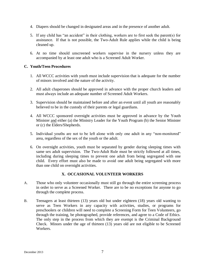- 4. Diapers should be changed in designated areas and in the presence of another adult.
- 5. If any child has "an accident" in their clothing, workers are to first seek the parent(s) for assistance. If that is not possible, the Two-Adult Rule applies while the child is being cleaned up.
- 6. At no time should unscreened workers supervise in the nursery unless they are accompanied by at least one adult who is a Screened Adult Worker.

#### **C. Youth/Teen Procedures**

- 1. All WCCC activities with youth must include supervision that is adequate for the number of minors involved and the nature of the activity.
- 2. All adult chaperones should be approved in advance with the proper church leaders and must always include an adequate number of Screened Adult Workers.
- 3. Supervision should be maintained before and after an event until all youth are reasonably believed to be in the custody of their parents or legal guardians.
- 4. All WCCC sponsored overnight activities must be approved in advance by the Youth Minister and either (a) the Ministry Leader for the Youth Program (b) the Senior Minister or (c) the Elders/Shepherds.
- 5. Individual youths are not to be left alone with only one adult in any "non-monitored" area, regardless of the sex of the youth or the adult.
- 6. On overnight activities, youth must be separated by gender during sleeping times with same sex adult supervision. The Two-Adult Rule must be strictly followed at all times, including during sleeping times to prevent one adult from being segregated with one child. Every effort must also be made to avoid one adult being segregated with more than one child on overnight activities.

#### **X. OCCASIONAL VOLUNTEER WORKERS**

- A. Those who only volunteer occasionally must still go through the entire screening process in order to serve as a Screened Worker. There are to be no exceptions for anyone to go through the complete process.
- B. Teenagers at least thirteen (13) years old but under eighteen (18) years old wanting to serve as Teen Workers in any capacity with activities, studies, or programs for preschoolers or children will need to complete a Screening Form for Teen Volunteers, go through the training, be photographed, provide references, and agree to a Code of Ethics. The only step in the process from which they are exempt is the Criminal Background Check. Minors under the age of thirteen (13) years old are not eligible to be Screened Workers.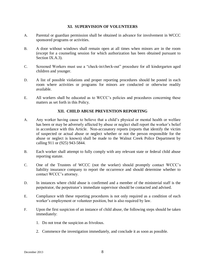#### **XI. SUPERVISION OF VOLUNTEERS**

- A. Parental or guardian permission shall be obtained in advance for involvement in WCCC sponsored programs or activities.
- B. A door without windows shall remain open at all times when minors are in the room (except for a counseling session for which authorization has been obtained pursuant to Section IX.A.3).
- C. Screened Workers must use a "check-in/check-out" procedure for all kindergarten aged children and younger.
- D. A list of possible violations and proper reporting procedures should be posted in each room where activities or programs for minors are conducted or otherwise readily available.
- E. All workers shall be educated as to WCCC's policies and procedures concerning these matters as set forth in this Policy.

#### **XII. CHILD ABUSE PREVENTION REPORTING**

- A. Any worker having cause to believe that a child's physical or mental health or welfare has been or may be adversely affected by abuse or neglect shall report the worker's belief in accordance with this Article. Non-accusatory reports (reports that identify the victim of suspected or actual abuse or neglect whether or not the person responsible for the abuse or neglect is known) shall be made to the Walnut Creek Police Department by calling 911 or (925) 943-5844.
- B. Each worker shall attempt to fully comply with any relevant state or federal child abuse reporting statute.
- C. One of the Trustees of WCCC (not the worker) should promptly contact WCCC's liability insurance company to report the occurrence and should determine whether to contact WCCC's attorney.
- D. In instances where child abuse is confirmed and a member of the ministerial staff is the perpetrator, the perpetrator's immediate supervisor should be contacted and advised.
- E. Compliance with these reporting procedures is not only required as a condition of each worker's employment or volunteer position, but is also required by law.
- F. Upon the first suspicion of an instance of child abuse, the following steps should be taken immediately:
	- 1. Do not treat the suspicion as frivolous.
	- 2. Commence the investigation immediately, and conclude it as soon as possible.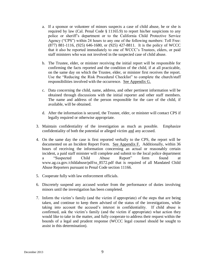- a. If a sponsor or volunteer of minors suspects a case of child abuse, he or she is required by law (Cal. Penal Code § 11165.9) to report his/her suspicions to any police or sheriff's department or to the California Child Protective Service Agency ("CPS") within 24 hours to any one of the following numbers: Toll Free: (877) 881-1116, (925) 646-1680, or (925) 427-8811. It is the policy of WCCC that it also be reported immediately to one of WCCC's Trustees, elders, or paid staff ministers who was not involved in the suspected case of child abuse.
- b. The Trustee, elder, or minister receiving the initial report will be responsible for confirming the facts reported and the condition of the child, if at all practicable, on the same day on which the Trustee, elder, or minister first receives the report. Use the "Reducing the Risk Procedural Checklist" to complete the church/staff responsibilities involved with the occurrence. See Appendix G.
- c. Data concerning the child, name, address, and other pertinent information will be obtained through discussions with the initial reporter and other staff members. The name and address of the person responsible for the care of the child, if available, will be obtained.
- d. After the information is secured, the Trustee, elder, or minister will contact CPS if legally required or otherwise appropriate.
- 3. Maintain confidentiality of the investigation as much as possible. Emphasize confidentiality of both the potential or alleged victim and any accused.
- 4. On the same day the case is first reported verbally to the CPS, the report will be documented on an Incident Report Form. See Appendix F. Additionally, within 36 hours of receiving the information concerning an actual or reasonably certain incident, a paid staff minister will complete and submit to the local police department a "Suspected Child Abuse Report" form found at www.ag.ca.gov./childabuse/pdf/ss\_8572.pdf that is required of all Mandated Child Abuse Reporters pursuant to Penal Code section 11166.
- 5. Cooperate fully with law enforcement officials.
- 6. Discretely suspend any accused worker from the performance of duties involving minors until the investigation has been completed.
- 7. Inform the victim's family (and the victim if appropriate) of the steps that are being taken, and continue to keep them advised of the status of the investigations, while taking into account the accused's interest in confidentiality. If child abuse is confirmed, ask the victim's family (and the victim if appropriate) what action they would like to take in the matter, and fully cooperate to address their request within the bounds of a legal and prudent response (WCCC legal counsel should be sought to assist in this determination).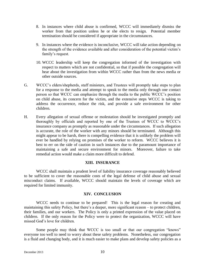- 8. In instances where child abuse is confirmed, WCCC will immediately dismiss the worker from that position unless he or she elects to resign. Potential member termination should be considered if appropriate in the circumstances.
- 9. In instances where the evidence is inconclusive, WCCC will take action depending on the strength of the evidence available and after consideration of the potential victim's family's request.
- 10. WCCC leadership will keep the congregation informed of the investigation with respect to matters which are not confidential, so that if possible the congregation will hear about the investigation from within WCCC rather than from the news media or other outside sources.
- G. WCCC's elders/shepherds, staff ministers, and Trustees will promptly take steps to plan for a response to the media and attempt to speak to the media only through one contact person so that WCCC can emphasize through the media to the public WCCC's position on child abuse, its concern for the victim, and the extensive steps WCCC is taking to address the occurrence, reduce the risk, and provide a safe environment for other children.
- H. Every allegation of sexual offense or molestation should be investigated promptly and thoroughly by officials and reported by one of the Trustees of WCCC to WCCC's insurance company as promptly as reasonable under the circumstances. If such allegation is accurate, the role of the worker with any minors should be terminated. Although this might appear to be harsh, there is compelling evidence that it is unlikely the problem will ever be handled by relying on promises of the worker to reform. WCCC believes it is best to err on the side of caution in such instances due to the paramount importance of maintaining a safe and secure environment for minors. Moreover, failure to take remedial action would make a claim more difficult to defend.

#### **XIII. INSURANCE**

WCCC shall maintain a prudent level of liability insurance coverage reasonably believed to be sufficient to cover the reasonable costs of the legal defense of child abuse and sexual misconduct claims. If available, WCCC should maintain the levels of coverage which are required for limited immunity.

#### **XIV. CONCLUSION**

WCCC needs to continue to be prepared! This is the legal reason for creating and maintaining this safety Policy, but there's a deeper, more significant reason – to protect children, their families, and our workers. The Policy is only a printed expression of the value placed on children. If the only reason for the Policy were to protect the organization, WCCC will have missed God's love for children.

Some people may think that WCCC is too small or that our congregation "knows" everyone too well to need to worry about these safety problems. Nonetheless, our congregation is a fluid and changing body, and it is much easier to make plans and develop safety policies as a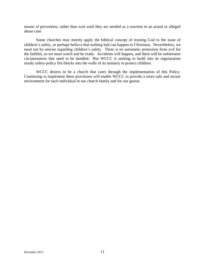means of prevention, rather than wait until they are needed as a reaction to an actual or alleged abuse case.

Some churches may merely apply the biblical concept of trusting God to the issue of children's safety, or perhaps believe that nothing bad can happen to Christians. Nevertheless, we must not be unwise regarding children's safety. There is no automatic protection from evil for the faithful, so we must watch and be ready. Accidents will happen, and there will be unforeseen circumstances that need to be handled. But WCCC is seeking to build into its organization sturdy safety-policy fire blocks into the walls of its ministry to protect children.

WCCC desires to be a church that cares through the implementation of this Policy. Continuing to implement these provisions will enable WCCC to provide a more safe and secure environment for each individual in our church family and for our guests.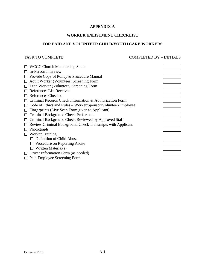### **APPENDIX A**

#### **WORKER ENLISTMENT CHECKLIST**

#### **FOR PAID AND VOLUNTEER CHILD/YOUTH CARE WORKERS**

#### TASK TO COMPLETE COMPLETED BY – INITIALS

| <b>WCCC Church Membership Status</b>                         |  |
|--------------------------------------------------------------|--|
| In-Person Interview                                          |  |
| Provide Copy of Policy & Procedure Manual                    |  |
| Adult Worker (Volunteer) Screening Form                      |  |
| Teen Worker (Volunteer) Screening Form                       |  |
| References List Received                                     |  |
| <b>References Checked</b>                                    |  |
| Criminal Records Check Information & Authorization Form      |  |
| Code of Ethics and Rules - Worker/Sponsor/Volunteer/Employee |  |
| Fingerprints (Live Scan Form given to Applicant)             |  |
| Criminal Background Check Performed                          |  |
| Criminal Background Check Reviewed by Approved Staff         |  |
| Review Criminal Background Check Transcripts with Applicant  |  |
| Photograph                                                   |  |
| <b>Worker Training</b>                                       |  |
| Definition of Child Abuse                                    |  |
| Procedure on Reporting Abuse                                 |  |
| Written Material(s)                                          |  |
| Driver Information Form (as needed)                          |  |
| Paid Employee Screening Form                                 |  |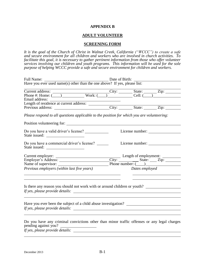#### **APPENDIX B**

#### **ADULT VOLUNTEER**

#### **SCREENING FORM**

*It is the goal of the Church of Christ in Walnut Creek, California ("WCCC") to create a safe and secure environment for all children and workers who are involved in church activities. To facilitate this goal, it is necessary to gather pertinent information from those who offer volunteer services involving our children and youth programs. This information will be used for the sole purpose of helping WCCC provide a safe and secure environment for children and workers.*

| Full Name: Date of Birth: Date of Birth: Date of Birth: Have you ever used name(s) other than the one above? If yes, please list:                                                                                              |  |                |                 |  |
|--------------------------------------------------------------------------------------------------------------------------------------------------------------------------------------------------------------------------------|--|----------------|-----------------|--|
| Current address: Current address: City: City: City: City: City: City: City: City: City: City: City: City: City: City: City: City: City: City: City: City: City: City: City: City: City: City: City: City: City: City: City: Ci |  |                |                 |  |
|                                                                                                                                                                                                                                |  |                |                 |  |
|                                                                                                                                                                                                                                |  |                |                 |  |
|                                                                                                                                                                                                                                |  |                |                 |  |
|                                                                                                                                                                                                                                |  |                |                 |  |
| Please respond to all questions applicable to the position for which you are volunteering:                                                                                                                                     |  |                |                 |  |
| Position volunteering for:                                                                                                                                                                                                     |  |                |                 |  |
| Do you have a valid driver's license?<br>State issued:                                                                                                                                                                         |  |                | License number: |  |
| Do you have a commercial driver's license?                                                                                                                                                                                     |  |                |                 |  |
|                                                                                                                                                                                                                                |  |                |                 |  |
|                                                                                                                                                                                                                                |  |                |                 |  |
|                                                                                                                                                                                                                                |  |                |                 |  |
| Previous employers (within last five years)                                                                                                                                                                                    |  | Dates employed |                 |  |
| Is there any reason you should not work with or around children or youth?                                                                                                                                                      |  |                |                 |  |
| Have you ever been the subject of a child abuse investigation?                                                                                                                                                                 |  |                |                 |  |
| Do you have any criminal convictions other than minor traffic offenses or any legal charges<br>pending against you?<br>If yes, please provide details:                                                                         |  |                |                 |  |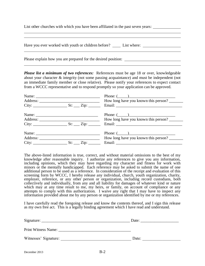List other churches with which you have been affiliated in the past seven years:

| Have you ever worked with youth or children before? | List where: |  |
|-----------------------------------------------------|-------------|--|
|-----------------------------------------------------|-------------|--|

Please explain how you are prepared for the desired position: \_\_\_\_\_\_\_\_\_\_\_\_\_\_\_\_\_\_\_

*Please list a minimum of two references:* References must be age 18 or over, knowledgeable about your character & integrity (not some passing acquaintance) and must be independent (not an immediate family member or close relative). Please notify your references to expect contact from a WCCC representative and to respond promptly so your application can be approved.

|          | Phone: $(\_\_)$                      |
|----------|--------------------------------------|
| Address: | How long have you known this person? |
|          |                                      |
|          | Phone: $(\_\_)$                      |
|          | How long have you known this person? |
|          |                                      |
|          | Phone: (                             |
|          | How long have you known this person? |
|          |                                      |

The above-listed information is true, correct, and without material omissions to the best of my knowledge after reasonable inquiry. I authorize any references to give you any information, including opinions, which they may have regarding my character and fitness for work with minors or the mentally handicapped. Each reference may be asked to submit the name of one additional person to be used as a reference. In consideration of the receipt and evaluation of this screening form by WCCC, I hereby release any individual, church, youth organization, charity, employer, reference, or any other person or organization, including record custodians, both collectively and individually, from any and all liability for damages of whatever kind or nature which may at any time result to me, my heirs, or family, on account of compliance or any attempts to comply with this authorization. I waive any right that I may have to inspect any information provided about me by any person or organization identified by me or my references.

I have carefully read the foregoing release and know the contents thereof, and I sign this release as my own free act. This is a legally binding agreement which I have read and understand.

| Signature:            | Date: |
|-----------------------|-------|
| Print Witness Name:   |       |
| Witnesses' Signature: | Date: |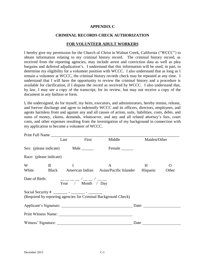#### **APPENDIX C**

#### **CRIMINAL RECORDS CHECK AUTHORIZATION**

#### **FOR VOLUNTEER ADULT WORKERS**

I hereby give my permission for the Church of Christ in Walnut Creek, California ("WCCC") to obtain information relating to my criminal history record. The criminal history record, as received from the reporting agencies, may include arrest and conviction data as well as plea bargains and deferred adjudication's. I understand that this information will be used, in part, to determine my eligibility for a volunteer position with WCCC. I also understand that as long as I remain a volunteer at WCCC, the criminal history records check may be repeated at any time. I understand that I will have the opportunity to review the criminal history and a procedure is available for clarification, if I dispute the record as received by WCCC. I also understand that, by law, I may see a copy of the transcript, for its review, but may not receive a copy of the document in any fashion or form.

I, the undersigned, do for myself, my heirs, executors, and administrators, hereby remise, release, and forever discharge and agree to indemnify WCCC and its officers, directors, employees, and agents harmless from and against any and all causes of action, suits, liabilities, costs, debts, and sums of money, claims, demands, whatsoever, and any and all related attorney's fees, court costs, and other expenses resulting from the investigation of my background in connection with my application to become a volunteer of WCCC.

|                                 |                         | Print Full Name                      |                                                                |               |            |
|---------------------------------|-------------------------|--------------------------------------|----------------------------------------------------------------|---------------|------------|
|                                 |                         | First<br>Last                        | Middle                                                         | Maiden/Other  |            |
|                                 |                         | Sex: (please indicate) Male ________ | Female _______                                                 |               |            |
|                                 | Race: (please indicate) |                                      |                                                                |               |            |
| W <sub>1</sub>                  | $\mathbf{B}$            | $\bf{I}$                             | A<br>White Black American Indian Asian/Pacific Islander        | H<br>Hispanic | O<br>Other |
| Date of Birth:                  |                         | _____/__/__<br>Year / Month / Day    |                                                                |               |            |
|                                 |                         |                                      | (Required by reporting agencies for Criminal Background Check) |               |            |
| Applicant's Signature:<br>Date: |                         |                                      |                                                                |               |            |
|                                 |                         |                                      |                                                                |               |            |
|                                 |                         |                                      |                                                                |               |            |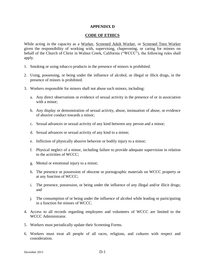#### **APPENDIX D**

#### **CODE OF ETHICS**

While acting in the capacity as a Worker, Screened Adult Worker, or Screened Teen Worker given the responsibility of working with, supervising, chaperoning, or caring for minors on behalf of the Church of Christ in Walnut Creek, California ("WCCC"), the following rules shall apply.

- 1. Smoking or using tobacco products in the presence of minors is prohibited.
- 2. Using, possessing, or being under the influence of alcohol, or illegal or illicit drugs, in the presence of minors is prohibited.
- 3. Workers responsible for minors shall not abuse such minors, including:
	- a. Any direct observations or evidence of sexual activity in the presence of or in association with a minor;
	- b. Any display or demonstration of sexual activity, abuse, insinuation of abuse, or evidence of abusive conduct towards a minor;
	- c. Sexual advances or sexual activity of any kind between any person and a minor;
	- d. Sexual advances or sexual activity of any kind to a minor;
	- e. Infliction of physically abusive behavior or bodily injury to a minor;
	- f. Physical neglect of a minor, including failure to provide adequate supervision in relation to the activities of WCCC;
	- g. Mental or emotional injury to a minor;
	- h. The presence or possession of obscene or pornographic materials on WCCC property or at any function of WCCC;
	- i. The presence, possession, or being under the influence of any illegal and/or illicit drugs; and
	- j. The consumption of or being under the influence of alcohol while leading or participating in a function for minors of WCCC.
- 4. Access to all records regarding employees and volunteers of WCCC are limited to the WCCC Administrator.
- 5. Workers must periodically update their Screening Forms.
- 6. Workers must treat all people of all races, religions, and cultures with respect and consideration.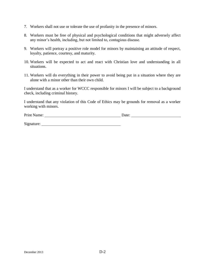- 7. Workers shall not use or tolerate the use of profanity in the presence of minors.
- 8. Workers must be free of physical and psychological conditions that might adversely affect any minor's health, including, but not limited to, contagious disease.
- 9. Workers will portray a positive role model for minors by maintaining an attitude of respect, loyalty, patience, courtesy, and maturity.
- 10. Workers will be expected to act and react with Christian love and understanding in all situations.
- 11. Workers will do everything in their power to avoid being put in a situation where they are alone with a minor other than their own child.

I understand that as a worker for WCCC responsible for minors I will be subject to a background check, including criminal history.

I understand that any violation of this Code of Ethics may be grounds for removal as a worker working with minors.

Print Name: Date: Date:

Signature: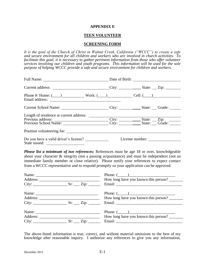#### **APPENDIX E**

#### **TEEN VOLUNTEER**

#### **SCREENING FORM**

*It is the goal of the Church of Christ in Walnut Creek, California ("WCCC") to create a safe and secure environment for all children and workers who are involved in church activities. To facilitate this goal, it is necessary to gather pertinent information from those who offer volunteer services involving our children and youth programs. This information will be used for the sole purpose of helping WCCC provide a safe and secure environment for children and workers.*

| Full Name: Date of Birth:                                                                                                                                                                                                         |  |  |
|-----------------------------------------------------------------------------------------------------------------------------------------------------------------------------------------------------------------------------------|--|--|
|                                                                                                                                                                                                                                   |  |  |
| Phone #: Home: $(\_\_\_\_)$ Work: $(\_\_\_\_)$ Cell: $(\_\_\_)$                                                                                                                                                                   |  |  |
|                                                                                                                                                                                                                                   |  |  |
|                                                                                                                                                                                                                                   |  |  |
| Previous address: City: City: City: State: Zip:<br>Previous School Name: City: City: State: City: City: City: City: City: City: City: City: City: City: City: City: City: City: City: City: City: City: City: City: City: City: C |  |  |
|                                                                                                                                                                                                                                   |  |  |
|                                                                                                                                                                                                                                   |  |  |
| Do you have a valid driver's license?<br>State issued:                                                                                                                                                                            |  |  |

*Please list a minimum of two references:* References must be age 18 or over, knowledgeable about your character & integrity (not a passing acquaintance) and must be independent (not an immediate family member or close relative). Please notify your references to expect contact from a WCCC representative and to respond promptly so your application can be approved.

|          | Name:                | Phone: (                             |
|----------|----------------------|--------------------------------------|
|          |                      | How long have you known this person? |
|          |                      |                                      |
|          |                      | Phone: $(\_\_)$                      |
|          |                      | How long have you known this person? |
|          | $City:$ $St:$ $Zip:$ |                                      |
|          |                      | Phone: $(\_\_)$                      |
| Address: |                      | How long have you known this person? |
|          |                      |                                      |

The above-listed information is true, correct, and without material omissions to the best of my knowledge after reasonable inquiry. I authorize any references to give you any information,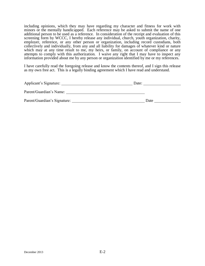including opinions, which they may have regarding my character and fitness for work with minors or the mentally handicapped. Each reference may be asked to submit the name of one additional person to be used as a reference. In consideration of the receipt and evaluation of this screening form by WCCC, I hereby release any individual, church, youth organization, charity, employer, reference, or any other person or organization, including record custodians, both collectively and individually, from any and all liability for damages of whatever kind or nature which may at any time result to me, my heirs, or family, on account of compliance or any attempts to comply with this authorization. I waive any right that I may have to inspect any information provided about me by any person or organization identified by me or my references.

I have carefully read the foregoing release and know the contents thereof, and I sign this release as my own free act. This is a legally binding agreement which I have read and understand.

| Applicant's Signature:       | Date: |
|------------------------------|-------|
| Parent/Guardian's Name:      |       |
| Parent/Guardian's Signature: | Date  |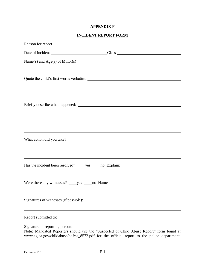#### **APPENDIX F**

#### **INCIDENT REPORT FORM**

|                                                       | Reason for report                                                                                                                                                    |
|-------------------------------------------------------|----------------------------------------------------------------------------------------------------------------------------------------------------------------------|
|                                                       |                                                                                                                                                                      |
|                                                       |                                                                                                                                                                      |
|                                                       | ,我们也不会有什么。""我们的人,我们也不会有什么?""我们的人,我们也不会有什么?""我们的人,我们也不会有什么?""我们的人,我们也不会有什么?""我们的人                                                                                     |
|                                                       | <u> 1989 - Andrea Santana, amerikana amerikana amerikana amerikana amerikana amerikana amerikana amerikana amerika</u>                                               |
|                                                       | ,我们也不会有什么。""我们的人,我们也不会有什么?""我们的人,我们也不会有什么?""我们的人,我们也不会有什么?""我们的人,我们也不会有什么?""我们的人<br>,我们也不会有什么。""我们的人,我们也不会有什么?""我们的人,我们也不会有什么?""我们的人,我们也不会有什么?""我们的人,我们也不会有什么?""我们的人 |
|                                                       | What action did you take?<br>,我们也不会有什么?""我们的人,我们也不会有什么?""我们的人,我们也不会有什么?""我们的人,我们也不会有什么?""我们的人,我们也不会有什么?""我们的人                                                        |
|                                                       | ,我们也不会有什么。""我们的人,我们也不会有什么?""我们的人,我们也不会有什么?""我们的人,我们也不会有什么?""我们的人,我们也不会有什么?""我们的人                                                                                     |
| Were there any witnesses? ______ yes ______ no Names: | ,我们也不会有什么。""我们的人,我们也不会有什么?""我们的人,我们也不会有什么?""我们的人,我们也不会有什么?""我们的人,我们也不会有什么?""我们的人                                                                                     |
|                                                       |                                                                                                                                                                      |
|                                                       | Report submitted to:                                                                                                                                                 |
|                                                       |                                                                                                                                                                      |

Note: Mandated Reporters should use the "Suspected of Child Abuse Report" form found at www.ag.ca.gov/childabuse/pdf/ss\_8572.pdf for the official report to the police department.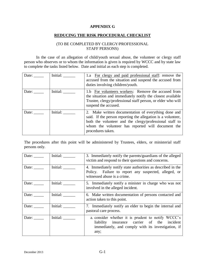#### **APPENDIX G**

#### **REDUCING THE RISK PROCEDURAL CHECKLIST**

#### (TO BE COMPLETED BY CLERGY/PROFESSIONAL STAFF PERSONS)

In the case of an allegation of child/youth sexual abuse, the volunteer or clergy staff person who observes or to whom the information is given is required by WCCC and by state law to complete the tasks listed below. Date and initial as each step is completed.

| Date: $\qquad \qquad$                                                     | Initial: | 1.a For clergy and paid professional staff: remove the<br>accused from the situation and suspend the accused from<br>duties involving children/youth.                                                                                                     |
|---------------------------------------------------------------------------|----------|-----------------------------------------------------------------------------------------------------------------------------------------------------------------------------------------------------------------------------------------------------------|
| Date: $\frac{1}{\sqrt{1-\frac{1}{2}}\cdot\frac{1}{\sqrt{1-\frac{1}{2}}}}$ | Initial: | 1.b For volunteers workers: Remove the accused from<br>the situation and immediately notify the closest available<br>Trustee, clergy/professional staff person, or elder who will<br>suspend the accused.                                                 |
| Date: $\qquad \qquad$                                                     | Initial: | 2. Make written documentation of everything done and<br>said. If the person reporting the allegation is a volunteer,<br>both the volunteer and the clergy/professional staff to<br>whom the volunteer has reported will document the<br>procedures taken. |

The procedures after this point will be administered by Trustees, elders, or ministerial staff persons only.

| Date: $\_\_$          | Initial: | 3. Immediately notify the parents/guardians of the alleged<br>victim and respond to their questions and concerns.                                               |  |
|-----------------------|----------|-----------------------------------------------------------------------------------------------------------------------------------------------------------------|--|
| Date: $\qquad \qquad$ | Initial: | 4. Immediately notify state authorities as described in the<br>Policy. Failure to report any suspected, alleged, or<br>witnessed abuse is a crime.              |  |
| Date:                 | Initial: | 5. Immediately notify a minister in charge who was not<br>involved in the alleged incident.                                                                     |  |
| Date:                 | Initial: | 6. Make written documentation of persons contacted and<br>action taken to this point.                                                                           |  |
| Date: $\qquad \qquad$ | Initial: | 7. Immediately notify an elder to begin the internal and<br>pastoral care process.                                                                              |  |
| Date: $\qquad \qquad$ | Initial: | a. consider whether it is prudent to notify WCCC's<br>liability insurance carrier of the incident<br>immediately, and comply with its investigation, if<br>any; |  |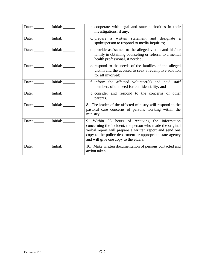| Date: $\_\_$          | Initial:         | b. cooperate with legal and state authorities in their<br>investigations, if any;                                                                                                                                                                                              |
|-----------------------|------------------|--------------------------------------------------------------------------------------------------------------------------------------------------------------------------------------------------------------------------------------------------------------------------------|
| Date: $\_\_$          | Initial:         | c prepare a written statement and designate a<br>spokesperson to respond to media inquiries;                                                                                                                                                                                   |
| Date: $\_\_$          | Initial:         | d. provide assistance to the alleged victim and his/her<br>family in obtaining counseling or referral to a mental<br>health professional, if needed;                                                                                                                           |
| Date: $\_\_$          | Initial:         | e. respond to the needs of the families of the alleged<br>victim and the accused to seek a redemptive solution<br>for all involved;                                                                                                                                            |
| Date: $\qquad \qquad$ | Initial: _______ | f. inform the affected volunteer(s) and paid staff<br>members of the need for confidentiality; and                                                                                                                                                                             |
| Date: $\qquad \qquad$ | Initial:         | g consider and respond to the concerns of other<br>parents.                                                                                                                                                                                                                    |
| Date: $\_\_$          | Initial: _______ | 8. The leader of the affected ministry will respond to the<br>pastoral care concerns of persons working within the<br>ministry.                                                                                                                                                |
| Date: $\qquad \qquad$ | Initial:         | 9. Within 36 hours of receiving the information<br>concerning the incident, the person who made the original<br>verbal report will prepare a written report and send one<br>copy to the police department or appropriate state agency<br>and will give one copy to the elders. |
| Date: $\_\_$          | Initial:         | 10. Make written documentation of persons contacted and<br>action taken.                                                                                                                                                                                                       |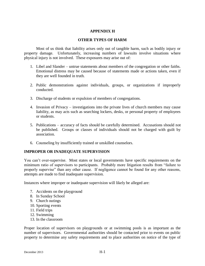#### **APPENDIX H**

#### **OTHER TYPES OF HARM**

Most of us think that liability arises only out of tangible harm, such as bodily injury or property damage. Unfortunately, increasing numbers of lawsuits involve situations where physical injury is not involved. These exposures may arise out of:

- 1. Libel and Slander untrue statements about members of the congregation or other faiths. Emotional distress may be caused because of statements made or actions taken, even if they are well founded in truth.
- 2. Public demonstrations against individuals, groups, or organizations if improperly conducted.
- 3. Discharge of students or expulsion of members of congregations.
- 4. Invasion of Privacy investigations into the private lives of church members may cause liability, as may acts such as searching lockers, desks, or personal property of employees or students.
- 5. Publications accuracy of facts should be carefully determined. Accusations should not be published. Groups or classes of individuals should not be charged with guilt by association.
- 6. Counseling by insufficiently trained or unskilled counselors.

#### **IMPROPER OR INADEQUATE SUPERVISION**

You can't over-supervise. Most states or local governments have specific requirements on the minimum ratio of supervisors to participants. Probably more litigation results from "failure to properly supervise" than any other cause. If negligence cannot be found for any other reasons, attempts are made to find inadequate supervision.

Instances where improper or inadequate supervision will likely be alleged are:

- 7. Accidents on the playground
- 8. In Sunday School
- 9. Church outings
- 10. Sporting events
- 11. Field trips
- 12. Swimming
- 13. In the classroom

Proper location of supervisors on playgrounds or at swimming pools is as important as the number of supervisors. Governmental authorities should be contacted prior to events on public property to determine any safety requirements and to place authorities on notice of the type of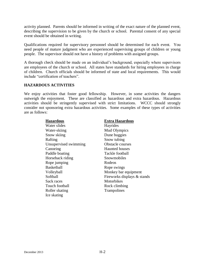activity planned. Parents should be informed in writing of the exact nature of the planned event, describing the supervision to be given by the church or school. Parental consent of any special event should be obtained in writing.

Qualifications required for supervisory personnel should be determined for each event. You need people of mature judgment who are experienced supervising groups of children or young people. The supervisor should not have a history of problems with assigned groups.

A thorough check should be made on an individual's background, especially where supervisors are employees of the church or school. All states have standards for hiring employees in charge of children. Church officials should be informed of state and local requirements. This would include "certification of teachers".

#### **HAZARDOUS ACTIVITIES**

We enjoy activities that foster good fellowship. However, in some activities the dangers outweigh the enjoyment. These are classified as hazardous and extra hazardous. Hazardous activities should be stringently supervised with strict limitations. WCCC should strongly consider not sponsoring extra hazardous activities. Some examples of these types of activities are as follows:

Water slides Hayrides Water-skiing Mud Olympics Snow skiing Dune buggies Rafting Snow tubing Unsupervised swimming Obstacle courses Canoeing Haunted houses Paddle boating Tackle football Horseback riding Snowmobiles Rope jumping Rodeos Basketball Rope swings Volleyball Monkey bar equipment Sack races Motorbikes Touch football Rock climbing Roller skating Trampolines Ice skating

#### **Hazardous Extra Hazardous**

Softball Fireworks displays & stands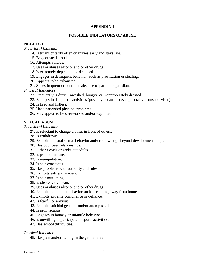#### **APPENDIX I**

#### **POSSIBLE INDICATORS OF ABUSE**

#### **NEGLECT**

#### *Behavioral Indicators*

- 14. Is truant or tardy often or arrives early and stays late.
- 15. Begs or steals food.
- 16. Attempts suicide.
- 17. Uses or abuses alcohol and/or other drugs.
- 18. Is extremely dependent or detached.
- 19. Engages in delinquent behavior, such as prostitution or stealing.
- 20. Appears to be exhausted.
- 21. States frequent or continual absence of parent or guardian.

#### *Physical Indicators*

- 22. Frequently is dirty, unwashed, hungry, or inappropriately dressed.
- 23. Engages in dangerous activities (possibly because he/she generally is unsupervised).
- 24. Is tired and listless.
- 25. Has unattended physical problems.
- 26. May appear to be overworked and/or exploited.

#### **SEXUAL ABUSE**

#### *Behavioral Indicators*

- 27. Is reluctant to change clothes in front of others.
- 28. Is withdrawn.
- 29. Exhibits unusual sexual behavior and/or knowledge beyond developmental age.
- 30. Has poor peer relationships.
- 31. Either avoids or seeks out adults.
- 32. Is pseudo-mature.
- 33. Is manipulative.
- 34. Is self-conscious.
- 35. Has problems with authority and rules.
- 36. Exhibits eating disorders.
- 37. Is self-mutilating.
- 38. Is obsessively clean.
- 39. Uses or abuses alcohol and/or other drugs.
- 40. Exhibits delinquent behavior such as running away from home.
- 41. Exhibits extreme compliance or defiance.
- 42. Is fearful or anxious.
- 43. Exhibits suicidal gestures and/or attempts suicide.
- 44. Is promiscuous.
- 45. Engages in fantasy or infantile behavior.
- 46. Is unwilling to participate in sports activities.
- 47. Has school difficulties.

#### *Physical Indicators*

48. Has pain and/or itching in the genital area.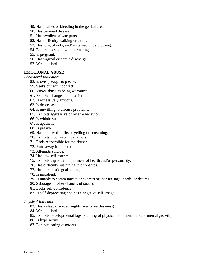- 49. Has bruises or bleeding in the genital area.
- 50. Has venereal disease.
- 51. Has swollen private parts.
- 52. Has difficulty walking or sitting.
- 53. Has torn, bloody, and/or stained underclothing.
- 54. Experiences pain when urinating.
- 55. Is pregnant.
- 56. Has vaginal or penile discharge.
- 57. Wets the bed.

#### **EMOTIONAL ABUSE**

*Behavioral Indicators*

- 58. Is overly eager to please.
- 59. Seeks out adult contact.
- 60. Views abuse as being warranted.
- 61. Exhibits changes in behavior.
- 62. Is excessively anxious.
- 63. Is depressed.
- 64. Is unwilling to discuss problems.
- 65. Exhibits aggressive or bizarre behavior.
- 66. Is withdrawn.
- 67. Is apathetic.
- 68. Is passive.
- 69. Has unprovoked fits of yelling or screaming.
- 70. Exhibits inconsistent behaviors.
- 71. Feels responsible for the abuser.
- 72. Runs away from home.
- 73. Attempts suicide.
- 74. Has low self-esteem.
- 75. Exhibits a gradual impairment of health and/or personality.
- 76. Has difficulty sustaining relationships.
- 77. Has unrealistic goal setting.
- 78. Is impatient.
- 79. Is unable to communicate or express his/her feelings, needs, or desires.
- 80. Sabotages his/her chances of success.
- 81. Lacks self-confidence.
- 82. Is self-deprecating and has a negative self-image.

#### *Physical Indicator*

- 83. Has a sleep disorder (nightmares or restlessness).
- 84. Wets the bed.
- 85. Exhibits developmental lags (stunting of physical, emotional, and/or mental growth).
- 86. Is hyperactive.
- 87. Exhibits eating disorders.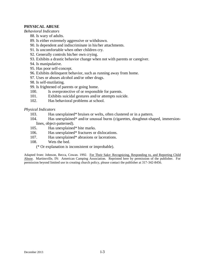#### **PHYSICAL ABUSE**

#### *Behavioral Indicators*

- 88. Is wary of adults.
- 89. Is either extremely aggressive or withdrawn.
- 90. Is dependent and indiscriminate in his/her attachments.
- 91. Is uncomfortable when other children cry.
- 92. Generally controls his/her own crying.
- 93. Exhibits a drastic behavior change when not with parents or caregiver.
- 94. Is manipulative.
- 95. Has poor self-concept.
- 96. Exhibits delinquent behavior, such as running away from home.
- 97. Uses or abuses alcohol and/or other drugs.
- 98. Is self-mutilating.
- 99. Is frightened of parents or going home.
- 100. Is overprotective of or responsible for parents.
- 101. Exhibits suicidal gestures and/or attempts suicide.
- 102. Has behavioral problems at school.

#### *Physical Indicators*

- 103. Has unexplained\* bruises or welts, often clustered or in a pattern.
- 104. Has unexplained\* and/or unusual burns (cigarettes, doughnut-shaped, immersionlines, object-patterned).
- 105. Has unexplained\* bite marks.
- 106. Has unexplained\* fractures or dislocations.
- 107. Has unexplained\* abrasions or lacerations.
- 108. Wets the bed.
	- (\* Or explanation is inconsistent or improbable).

Adapted from: Johnson, Becca, Cowan. 1992. For Their Sake: Recognizing, Responding to, and Reporting Child Abuse. Martinsville, IN: American Camping Association. Reprinted here by permission of the publisher. For permission beyond limited use in creating church policy, please contact the publisher at 317-342-8456.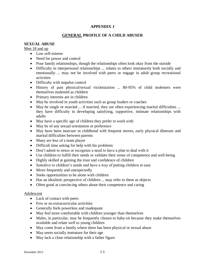#### **APPENDIX J**

#### **GENERAL PROFILE OF A CHILD ABUSER**

#### **SEXUAL ABUSE**

Men 18 and up

- Low self-esteem
- Need for power and control
- Poor family relationships, though the relationships often look okay from the outside
- Difficulty in interpersonal relationships ... relates to others immaturely both socially and emotionally ... may not be involved with peers or engage in adult group recreational activities
- Difficulty with impulse control
- History of past physical/sexual victimization ... 80-95% of child molesters were themselves molested as children
- Primary interests are in children
- May be involved in youth activities such as group leaders or coaches
- May be single or married ... if married, they are often experiencing marital difficulties ... they have difficulty in developing satisfying, supportive, intimate relationships with adults
- May have a specific age of children they prefer to work with
- May be of any sexual orientation or preference
- May have been insecure in childhood with frequent moves, early physical illnesses and marital difficulties between parents
- Many are less of a team player
- Difficult time asking for help with his problems
- Don't admit to stress or recognize a need to have a plan to deal with it
- Use children to fulfill their needs or validate their sense of competence and well-being
- Highly skilled at gaining the trust and confidence of children
- Sensitive to children's needs and have a way of putting children at ease
- Move frequently and unexpectedly
- Seeks opportunities to be alone with children
- Has an idealistic perspective of children ... may refer to them as objects
- Often good at convincing others about their competence and caring

#### Adolescent

- Lack of contact with peers
- Few or no extracurricular activities
- Generally feels powerless and inadequate
- May feel more comfortable with children younger than themselves
- Males, in particular, may be frequently chosen to baby-sit because they make themselves available and relate well to young children
- May come from a family where there has been physical or sexual abuse
- May seem socially immature for their age
- May lack a close relationship with a father figure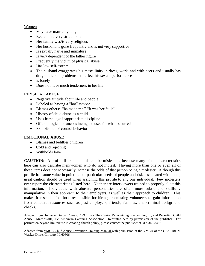#### Women

- May have married young
- Reared in a very strict home
- Her family was/is very religious
- Her husband is gone frequently and is not very supportive
- Is sexually naïve and immature
- Is very dependent of the father figure
- Frequently the victim of physical abuse
- Has low self-esteem
- The husband exaggerates his masculinity in dress, work, and with peers and usually has drug or alcohol problems that affect his sexual performance
- Is lonely
- Does not have much tenderness in her life

#### **PHYSICAL ABUSE**

- Negative attitude about life and people
- Labeled as having a "hot" temper
- Blames others: "he made me," "it was her fault"
- History of child abuse as a child
- Uses harsh, age inappropriate discipline
- Offers illogical or unconvincing excuses for what occurred
- Exhibits out of control behavior

#### **EMOTIONAL ABUSE**

- Blames and belittles children
- Cold and rejecting
- Withholds love

**CAUTION:** A profile list such as this can be misleading because many of the characteristics here can also describe men/women who do not molest. Having more than one or even all of these items does not necessarily increase the odds of that person being a molester. Although this profile has some value in pointing out particular needs of people and risks associated with them, great caution should be used when assigning this profile to any one individual. Few molesters ever report the characteristics listed here. Neither are interviewers trained to properly elicit this information. Individuals with abusive personalities are often more subtle and skillfully manipulative in their approach to their employers, as well as their approach to children. This makes it essential for those responsible for hiring or enlisting volunteers to gain information from collateral resources such as past employers, friends, families, and criminal background checks.

Adapted from: Johnson, Becca, Cowan. 1992. For Their Sake: Recognizing, Responding to, and Reporting Child Abuse. Martinsville, IN: American Camping Association. Reprinted here by permission of the publisher. For permission beyond limited use in creating church policy, please contact the publisher at 317-342-8456.

Adapted from YMCA Child Abuse Prevention Training Manual with permission of the YMCA of the USA, 101 N. Wacker Drive, Chicago, IL 60606.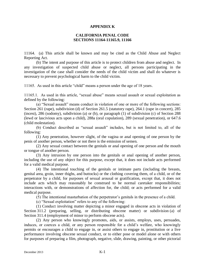#### **APPENDIX K**

#### **CALIFORNIA PENAL CODE SECTIONS 11164-11165.9, 11166**

11164. (a) This article shall be known and may be cited as the Child Abuse and Neglect Reporting Act.

(b) The intent and purpose of this article is to protect children from abuse and neglect. In any investigation of suspected child abuse or neglect, all persons participating in the investigation of the case shall consider the needs of the child victim and shall do whatever is necessary to prevent psychological harm to the child victim.

11165. As used in this article "child" means a person under the age of 18 years.

11165.1. As used in this article, "sexual abuse" means sexual assault or sexual exploitation as defined by the following:

(a) "Sexual assault" means conduct in violation of one or more of the following sections: Section 261 (rape), subdivision (d) of Section 261.5 (statutory rape), 264.1 (rape in concert), 285 (incest), 286 (sodomy), subdivision (a) or (b), or paragraph (1) of subdivision (c) of Section 288 (lewd or lascivious acts upon a child), 288a (oral copulation), 289 (sexual penetration), or 647.6 (child molestation).

(b) Conduct described as "sexual assault" includes, but is not limited to, all of the following:

(1) Any penetration, however slight, of the vagina or anal opening of one person by the penis of another person, whether or not there is the emission of semen.

(2) Any sexual contact between the genitals or anal opening of one person and the mouth or tongue of another person.

(3) Any intrusion by one person into the genitals or anal opening of another person, including the use of any object for this purpose, except that, it does not include acts performed for a valid medical purpose.

(4) The intentional touching of the genitals or intimate parts (including the breasts, genital area, groin, inner thighs, and buttocks) or the clothing covering them, of a child, or of the perpetrator by a child, for purposes of sexual arousal or gratification, except that, it does not include acts which may reasonably be construed to be normal caretaker responsibilities; interactions with, or demonstrations of affection for, the child; or acts performed for a valid medical purpose.

(5) The intentional masturbation of the perpetrator's genitals in the presence of a child.

(c) "Sexual exploitation" refers to any of the following:

(1) Conduct involving matter depicting a minor engaged in obscene acts in violation of Section 311.2 (preparing, selling, or distributing obscene matter) or subdivision (a) of Section 311.4 (employment of minor to perform obscene acts).

(2) Any person who knowingly promotes, aids, or assists, employs, uses, persuades, induces, or coerces a child, or any person responsible for a child's welfare, who knowingly permits or encourages a child to engage in, or assist others to engage in, prostitution or a live performance involving obscene sexual conduct, or to either pose or model alone or with others for purposes of preparing a film, photograph, negative, slide, drawing, painting, or other pictorial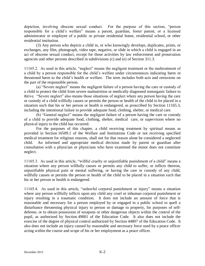depiction, involving obscene sexual conduct. For the purpose of this section, "person responsible for a child's welfare" means a parent, guardian, foster parent, or a licensed administrator or employee of a public or private residential home, residential school, or other residential institution.

(3) Any person who depicts a child in, or who knowingly develops, duplicates, prints, or exchanges, any film, photograph, video tape, negative, or slide in which a child is engaged in an act of obscene sexual conduct, except for those activities by law enforcement and prosecution agencies and other persons described in subdivisions (c) and (e) of Section 311.3.

11165.2. As used in this article, "neglect" means the negligent treatment or the maltreatment of a child by a person responsible for the child's welfare under circumstances indicating harm or threatened harm to the child's health or welfare. The term includes both acts and omissions on the part of the responsible person.

(a) "Severe neglect" means the negligent failure of a person having the care or custody of a child to protect the child from severe malnutrition or medically diagnosed nonorganic failure to thrive. "Severe neglect" also means those situations of neglect where any person having the care or custody of a child willfully causes or permits the person or health of the child to be placed in a situation such that his or her person or health is endangered, as proscribed by Section 11165.3, including the intentional failure to provide adequate food, clothing, shelter, or medical care.

(b) "General neglect" means the negligent failure of a person having the care or custody of a child to provide adequate food, clothing, shelter, medical care, or supervision where no physical injury to the child has occurred.

For the purposes of this chapter, a child receiving treatment by spiritual means as provided in Section 16509.1 of the Welfare and Institutions Code or not receiving specified medical treatment for religious reasons, shall not for that reason alone be considered a neglected child. An informed and appropriate medical decision made by parent or guardian after consultation with a physician or physicians who have examined the minor does not constitute neglect.

11165.3. As used in this article, "willful cruelty or unjustifiable punishment of a child" means a situation where any person willfully causes or permits any child to suffer, or inflicts thereon, unjustifiable physical pain or mental suffering, or having the care or custody of any child, willfully causes or permits the person or health of the child to be placed in a situation such that his or her person or health is endangered.

11165.4. As used in this article, "unlawful corporal punishment or injury" means a situation where any person willfully inflicts upon any child any cruel or inhuman corporal punishment or injury resulting in a traumatic condition. It does not include an amount of force that is reasonable and necessary for a person employed by or engaged in a public school to quell a disturbance threatening physical injury to person or damage to property, for purposes of selfdefense, or to obtain possession of weapons or other dangerous objects within the control of the pupil, as authorized by Section 49001 of the Education Code. It also does not include the exercise of the degree of physical control authorized by Section 44807 of the Education Code. It also does not include an injury caused by reasonable and necessary force used by a peace officer acting within the course and scope of his or her employment as a peace officer.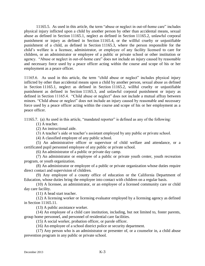11165.5. As used in this article, the term "abuse or neglect in out-of-home care" includes physical injury inflicted upon a child by another person by other than accidental means, sexual abuse as defined in Section 11165.1, neglect as defined in Section 11165.2, unlawful corporal punishment or injury as defined in Section 11165.4, or the willful cruelty or unjustifiable punishment of a child, as defined in Section 11165.3, where the person responsible for the child's welfare is a licensee, administrator, or employee of any facility licensed to care for children, or an administrator or employee of a public or private school or other institution or agency. "Abuse or neglect in out-of-home care" does not include an injury caused by reasonable and necessary force used by a peace officer acting within the course and scope of his or her employment as a peace officer.

11165.6. As used in this article, the term "child abuse or neglect" includes physical injury inflicted by other than accidental means upon a child by another person, sexual abuse as defined in Section 11165.1, neglect as defined in Section 11165.2, willful cruelty or unjustifiable punishment as defined in Section 11165.3, and unlawful corporal punishment or injury as defined in Section 11165.4. "Child abuse or neglect" does not include a mutual affray between minors. "Child abuse or neglect" does not include an injury caused by reasonable and necessary force used by a peace officer acting within the course and scope of his or her employment as a peace officer.

11165.7. (a) As used in this article, "mandated reporter" is defined as any of the following:

(1) A teacher.

(2) An instructional aide.

(3) A teacher's aide or teacher's assistant employed by any public or private school.

(4) A classified employee of any public school.

(5) An administrative officer or supervisor of child welfare and attendance, or a certificated pupil personnel employee of any public or private school.

(6) An administrator of a public or private day camp.

(7) An administrator or employee of a public or private youth center, youth recreation program, or youth organization.

(8) An administrator or employee of a public or private organization whose duties require direct contact and supervision of children.

(9) Any employee of a county office of education or the California Department of Education, whose duties bring the employee into contact with children on a regular basis.

(10) A licensee, an administrator, or an employee of a licensed community care or child day care facility.

(11) A head start teacher.

(12) A licensing worker or licensing evaluator employed by a licensing agency as defined in Section 11165.11.

(13) A public assistance worker.

(14) An employee of a child care institution, including, but not limited to, foster parents, group home personnel, and personnel of residential care facilities.

(15) A social worker, probation officer, or parole officer.

(16) An employee of a school district police or security department.

(17) Any person who is an administrator or presenter of, or a counselor in, a child abuse prevention program in any public or private school.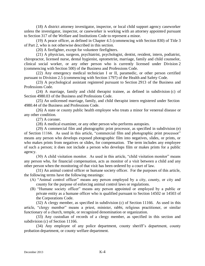(18) A district attorney investigator, inspector, or local child support agency caseworker unless the investigator, inspector, or caseworker is working with an attorney appointed pursuant to Section 317 of the Welfare and Institutions Code to represent a minor.

(19) A peace officer, as defined in Chapter 4.5 (commencing with Section 830) of Title 3 of Part 2, who is not otherwise described in this section.

(20) A firefighter, except for volunteer firefighters.

(21) A physician, surgeon, psychiatrist, psychologist, dentist, resident, intern, podiatrist, chiropractor, licensed nurse, dental hygienist, optometrist, marriage, family and child counselor, clinical social worker, or any other person who is currently licensed under Division 2 (commencing with Section 500) of the Business and Professions Code.

(22) Any emergency medical technician I or II, paramedic, or other person certified pursuant to Division 2.5 (commencing with Section 1797) of the Health and Safety Code.

(23) A psychological assistant registered pursuant to Section 2913 of the Business and Professions Code.

(24) A marriage, family and child therapist trainee, as defined in subdivision (c) of Section 4980.03 of the Business and Professions Code.

(25) An unlicensed marriage, family, and child therapist intern registered under Section 4980.44 of the Business and Professions Code.

(26) A state or county public health employee who treats a minor for venereal disease or any other condition.

(27) A coroner.

(28) A medical examiner, or any other person who performs autopsies.

(29) A commercial film and photographic print processor, as specified in subdivision (e) of Section 11166. As used in this article, "commercial film and photographic print processor" means any person who develops exposed photographic film into negatives, slides, or prints, or who makes prints from negatives or slides, for compensation. The term includes any employee of such a person; it does not include a person who develops film or makes prints for a public agency.

(30) A child visitation monitor. As used in this article, "child visitation monitor" means any person who, for financial compensation, acts as monitor of a visit between a child and any other person when the monitoring of that visit has been ordered by a court of law.

(31) An animal control officer or humane society officer. For the purposes of this article, the following terms have the following meanings:

- (A) "Animal control officer" means any person employed by a city, county, or city and county for the purpose of enforcing animal control laws or regulations.
- (B) "Humane society officer" means any person appointed or employed by a public or private entity as a humane officer who is qualified pursuant to Section 14502 or 14503 of the Corporations Code.

(32) A clergy member, as specified in subdivision (c) of Section 11166. As used in this article, "clergy member" means a priest, minister, rabbi, religious practitioner, or similar functionary of a church, temple, or recognized denomination or organization.

(33) Any custodian of records of a clergy member, as specified in this section and subdivision (c) of Section 11166.

(34) Any employee of any police department, county sheriff's department, county probation department, or county welfare department.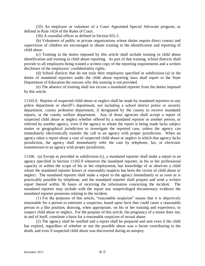(35) An employee or volunteer of a Court Appointed Special Advocate program, as defined in Rule 1424 of the Rules of Court.

(36) A custodial officer as defined in Section 831.5.

(b) Volunteers of public or private organizations whose duties require direct contact and supervision of children are encouraged to obtain training in the identification and reporting of child abuse.

(c) Training in the duties imposed by this article shall include training in child abuse identification and training in child abuse reporting. As part of that training, school districts shall provide to all employees being trained a written copy of the reporting requirements and a written disclosure of the employees' confidentiality rights.

(d) School districts that do not train their employees specified in subdivision (a) in the duties of mandated reporters under the child abuse reporting laws shall report to the State Department of Education the reasons why this training is not provided.

(e) The absence of training shall not excuse a mandated reporter from the duties imposed by this article.

11165.9. Reports of suspected child abuse or neglect shall be made by mandated reporters to any police department or sheriff's department, not including a school district police or security department, county probation department, if designated by the county to receive mandated reports, or the county welfare department. Any of those agencies shall accept a report of suspected child abuse or neglect whether offered by a mandated reporter or another person, or referred by another agency, even if the agency to whom the report is being made lacks subject matter or geographical jurisdiction to investigate the reported case, unless the agency can immediately electronically transfer the call to an agency with proper jurisdiction. When an agency takes a report about a case of suspected child abuse or neglect in which that agency lacks jurisdiction, the agency shall immediately refer the case by telephone, fax, or electronic transmission to an agency with proper jurisdiction.

11166. (a) Except as provided in subdivision (c), a mandated reporter shall make a report to an agency specified in Section 11165.9 whenever the mandated reporter, in his or her professional capacity or within the scope of his or her employment, has knowledge of or observes a child whom the mandated reporter knows or reasonably suspects has been the victim of child abuse or neglect. The mandated reporter shall make a report to the agency immediately or as soon as is practicably possible by telephone, and the mandated reporter shall prepare and send a written report thereof within 36 hours of receiving the information concerning the incident. The mandated reporter may include with the report any nonprivileged documentary evidence the mandated reporter possesses relating to the incident.

(1) For the purposes of this article, "reasonable suspicion" means that it is objectively reasonable for a person to entertain a suspicion, based upon facts that could cause a reasonable person in a like position, drawing, when appropriate, on his or her training and experience, to suspect child abuse or neglect. For the purpose of this article, the pregnancy of a minor does not, in and of itself, constitute a basis for a reasonable suspicion of sexual abuse.

(2) The agency shall be notified and a report shall be prepared and sent even if the child has expired, regardless of whether or not the possible abuse was a factor contributing to the death, and even if suspected child abuse was discovered during an autopsy.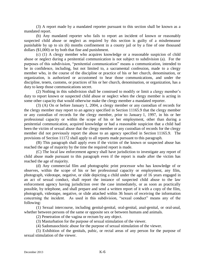(3) A report made by a mandated reporter pursuant to this section shall be known as a mandated report.

(b) Any mandated reporter who fails to report an incident of known or reasonably suspected child abuse or neglect as required by this section is guilty of a misdemeanor punishable by up to six (6) months confinement in a county jail or by a fine of one thousand dollars (\$1,000) or by both that fine and punishment.

(c) (1) A clergy member who acquires knowledge or a reasonable suspicion of child abuse or neglect during a penitential communication is not subject to subdivision (a). For the purposes of this subdivision, "penitential communication" means a communication, intended to be in confidence, including, but not limited to, a sacramental confession, made to a clergy member who, in the course of the discipline or practice of his or her church, denomination, or organization, is authorized or accustomed to hear those communications, and under the discipline, tenets, customs, or practices of his or her church, denomination, or organization, has a duty to keep those communications secret.

(2) Nothing in this subdivision shall be construed to modify or limit a clergy member's duty to report known or suspected child abuse or neglect when the clergy member is acting in some other capacity that would otherwise make the clergy member a mandated reporter.

(3) (A) On or before January 1, 2004, a clergy member or any custodian of records for the clergy member may report to an agency specified in Section 11165.9 that the clergy member or any custodian of records for the clergy member, prior to January 1, 1997, in his or her professional capacity or within the scope of his or her employment, other than during a penitential communication, acquired knowledge or had a reasonable suspicion that a child had been the victim of sexual abuse that the clergy member or any custodian of records for the clergy member did not previously report the abuse to an agency specified in Section 11165.9. The provisions of Section 11172 shall apply to all reports made pursuant to this paragraph.

(B) This paragraph shall apply even if the victim of the known or suspected abuse has reached the age of majority by the time the required report is made.

(C) The local law enforcement agency shall have jurisdiction to investigate any report of child abuse made pursuant to this paragraph even if the report is made after the victim has reached the age of majority.

(d) Any commercial film and photographic print processor who has knowledge of or observes, within the scope of his or her professional capacity or employment, any film, photograph, videotape, negative, or slide depicting a child under the age of 16 years engaged in an act of sexual conduct, shall report the instance of suspected child abuse to the law enforcement agency having jurisdiction over the case immediately, or as soon as practically possible, by telephone, and shall prepare and send a written report of it with a copy of the film, photograph, videotape, negative, or slide attached within 36 hours of receiving the information concerning the incident. As used in this subdivision, "sexual conduct" means any of the following:

(1) Sexual intercourse, including genital-genital, oral-genital, anal-genital, or oral-anal, whether between persons of the same or opposite sex or between humans and animals.

(2) Penetration of the vagina or rectum by any object.

(3) Masturbation for the purpose of sexual stimulation of the viewer.

(4) Sadomasochistic abuse for the purpose of sexual stimulation of the viewer.

(5) Exhibition of the genitals, pubic, or rectal areas of any person for the purpose of sexual stimulation of the viewer.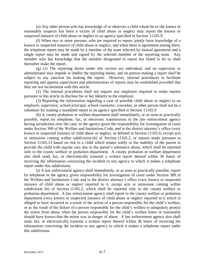(e) Any other person who has knowledge of or observes a child whom he or she knows or reasonably suspects has been a victim of child abuse or neglect may report the known or suspected instance of child abuse or neglect to an agency specified in Section 11165.9.

(f) When two or more persons, who are required to report, jointly have knowledge of a known or suspected instance of child abuse or neglect, and when there is agreement among them, the telephone report may be made by a member of the team selected by mutual agreement and a single report may be made and signed by the selected member of the reporting team. Any member who has knowledge that the member designated to report has failed to do so shall thereafter make the report.

(g) (1) The reporting duties under this section are individual, and no supervisor or administrator may impede or inhibit the reporting duties, and no person making a report shall be subject to any sanction for making the report. However, internal procedures to facilitate reporting and apprise supervisors and administrators of reports may be established provided that they are not inconsistent with this article.

(2) The internal procedures shall not require any employee required to make reports pursuant to this article to disclose his or her identity to the employer.

(3) Reporting the information regarding a case of possible child abuse or neglect to an employer, supervisor, school principal, school counselor, coworker, or other person shall not be a substitute for making a mandated report to an agency specified in Section 11165.9.

(h) A county probation or welfare department shall immediately, or as soon as practically possible, report by telephone, fax, or electronic transmission to the law enforcement agency having jurisdiction over the case, to the agency given the responsibility for investigation of cases under Section 300 of the Welfare and Institutions Code, and to the district attorney's office every known or suspected instance of child abuse or neglect, as defined in Section 11165.6, except acts or omissions coming within subdivision (b) of Section 11165.2, or reports made pursuant to Section 11165.13 based on risk to a child which relates solely to the inability of the parent to provide the child with regular care due to the parent's substance abuse, which shall be reported only to the county welfare or probation department. A county probation or welfare department also shall send, fax, or electronically transmit a written report thereof within 36 hours of receiving the information concerning the incident to any agency to which it makes a telephone report under this subdivision.

(i) A law enforcement agency shall immediately, or as soon as practically possible, report by telephone to the agency given responsibility for investigation of cases under Section 300 of the Welfare and Institutions Code and to the district attorney's office every known or suspected instance of child abuse or neglect reported to it, except acts or omissions coming within subdivision (b) of Section 11165.2, which shall be reported only to the county welfare or probation department. A law enforcement agency shall report to the county welfare or probation department every known or suspected instance of child abuse or neglect reported to it which is alleged to have occurred as a result of the action of a person responsible for the child's welfare, or as the result of the failure of a person responsible for the child's welfare to adequately protect the minor from abuse when the person responsible for the child's welfare knew or reasonably should have known that the minor was in danger of abuse. A law enforcement agency also shall send, fax, or electronically transmit a written report thereof within 36 hours of receiving the information concerning the incident to any agency to which it makes a telephone report under this subdivision.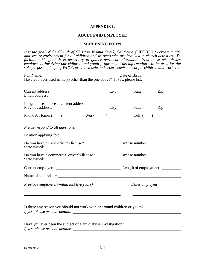#### **APPENDIX L**

#### **ADULT PAID EMPLOYEE**

#### **SCREENING FORM**

*It is the goal of the Church of Christ in Walnut Creek, California ("WCCC") to create a safe and secure environment for all children and workers who are involved in church activities. To facilitate this goal, it is necessary to gather pertinent information from those who desire employment involving our children and youth programs. This information will be used for the sole purpose of helping WCCC provide a safe and secure environment for children and workers.*

| Full Name: Date of Birth: Have you ever used name(s) other than the one above? If yes, please list:                                                                                                                                                                                                                                    |                 |  |
|----------------------------------------------------------------------------------------------------------------------------------------------------------------------------------------------------------------------------------------------------------------------------------------------------------------------------------------|-----------------|--|
| Current address: _________________________________City: __________State: _______Zip: _______________<br>Email address: No. 1996. The Contract of the Contract of the Contract of the Contract of the Contract of the Contract of the Contract of the Contract of the Contract of the Contract of the Contract of the Contract of the C |                 |  |
|                                                                                                                                                                                                                                                                                                                                        |                 |  |
| Phone #: Home: $(\_\_)$ Work: $(\_\_)$ Cell: $(\_\_)$                                                                                                                                                                                                                                                                                  |                 |  |
| Please respond to all questions:                                                                                                                                                                                                                                                                                                       |                 |  |
| Position applying for:                                                                                                                                                                                                                                                                                                                 |                 |  |
| State issued:                                                                                                                                                                                                                                                                                                                          | License number: |  |
| Do you have a commercial driver's license?                                                                                                                                                                                                                                                                                             |                 |  |
|                                                                                                                                                                                                                                                                                                                                        |                 |  |
| Name of supervisor:                                                                                                                                                                                                                                                                                                                    |                 |  |
| Previous employers (within last five years)                                                                                                                                                                                                                                                                                            | Dates employed  |  |
| <u> 1989 - Johann Stoff, deutscher Stoff, der Stoff, der Stoff, der Stoff, der Stoff, der Stoff, der Stoff, der S</u>                                                                                                                                                                                                                  |                 |  |
| Is there any reason you should not work with or around children or youth?                                                                                                                                                                                                                                                              |                 |  |
|                                                                                                                                                                                                                                                                                                                                        |                 |  |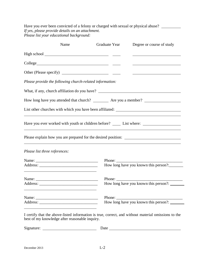Have you ever been convicted of a felony or charged with sexual or physical abuse? *If yes, please provide details on an attachment. Please list your educational background:*

|                               | Name                                                     | Graduate Year | Degree or course of study                                                         |
|-------------------------------|----------------------------------------------------------|---------------|-----------------------------------------------------------------------------------|
|                               |                                                          |               |                                                                                   |
|                               |                                                          |               |                                                                                   |
|                               |                                                          |               |                                                                                   |
|                               | Please provide the following church-related information: |               |                                                                                   |
|                               |                                                          |               | What, if any, church affiliation do you have? ___________________________________ |
|                               |                                                          |               | How long have you attended that church? Are you a member?                         |
|                               |                                                          |               | List other churches with which you have been affiliated: ________________________ |
|                               |                                                          |               |                                                                                   |
|                               |                                                          |               |                                                                                   |
| Please list three references: |                                                          |               |                                                                                   |
|                               |                                                          |               |                                                                                   |
|                               |                                                          |               | How long have you known this person?:                                             |
|                               |                                                          |               |                                                                                   |
|                               |                                                          |               | How long have you known this person?:                                             |
|                               |                                                          |               |                                                                                   |
|                               |                                                          |               | How long have you known this person?:                                             |

I certify that the above-listed information is true, correct, and without material omissions to the best of my knowledge after reasonable inquiry.

| $\sim$<br>Signature.<br>້<br>. <del>.</del> .<br>__ | Date |
|-----------------------------------------------------|------|
|                                                     |      |